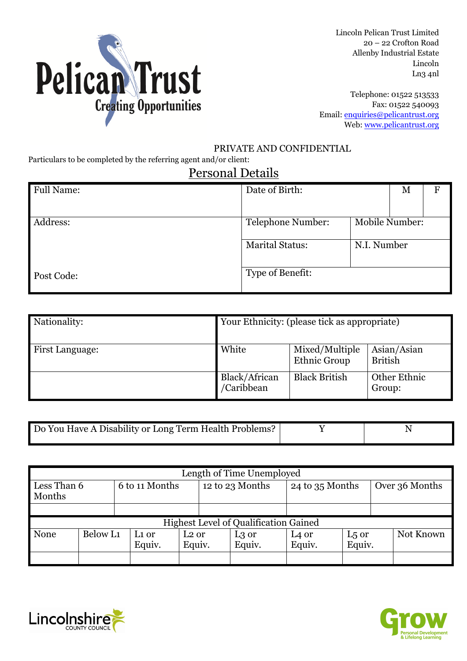

Lincoln Pelican Trust Limited 20 – 22 Crofton Road Allenby Industrial Estate Lincoln Ln3 4nl

Telephone: 01522 513533 Fax: 01522 540093 Email: enquiries@pelicantrust.org Web: www.pelicantrust.org

#### PRIVATE AND CONFIDENTIAL

Particulars to be completed by the referring agent and/or client:

### Personal Details

| <b>Full Name:</b> | Date of Birth:         |                | M | F |
|-------------------|------------------------|----------------|---|---|
|                   |                        |                |   |   |
| Address:          | Telephone Number:      | Mobile Number: |   |   |
|                   | <b>Marital Status:</b> | N.I. Number    |   |   |
| Post Code:        | Type of Benefit:       |                |   |   |

| Nationality:           | Your Ethnicity: (please tick as appropriate) |                                |                               |
|------------------------|----------------------------------------------|--------------------------------|-------------------------------|
| <b>First Language:</b> | White                                        | Mixed/Multiple<br>Ethnic Group | Asian/Asian<br><b>British</b> |
|                        | Black/African<br>/Caribbean                  | <b>Black British</b>           | Other Ethnic<br>Group:        |

| Do You Have A Disability or Long Term Health Problems? |  |
|--------------------------------------------------------|--|

| Length of Time Unemployed                    |          |  |                   |                   |  |                 |                   |        |                |           |
|----------------------------------------------|----------|--|-------------------|-------------------|--|-----------------|-------------------|--------|----------------|-----------|
| Less Than 6<br>Months                        |          |  | 6 to 11 Months    | 12 to 23 Months   |  | 24 to 35 Months |                   |        | Over 36 Months |           |
|                                              |          |  |                   |                   |  |                 |                   |        |                |           |
| <b>Highest Level of Qualification Gained</b> |          |  |                   |                   |  |                 |                   |        |                |           |
| None                                         | Below L1 |  | L <sub>1</sub> or | L <sub>2</sub> or |  | L3 or           | L <sub>4</sub> or | L5 or  |                | Not Known |
|                                              |          |  | Equiv.            | Equiv.            |  | Equiv.          | Equiv.            | Equiv. |                |           |
|                                              |          |  |                   |                   |  |                 |                   |        |                |           |



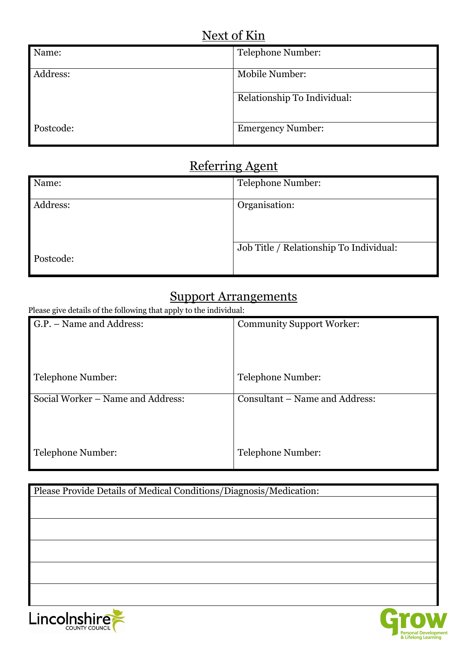| Name:     | Telephone Number:           |
|-----------|-----------------------------|
| Address:  | Mobile Number:              |
|           | Relationship To Individual: |
| Postcode: | <b>Emergency Number:</b>    |

## Referring Agent

| Name:     | Telephone Number:                       |
|-----------|-----------------------------------------|
| Address:  | Organisation:                           |
| Postcode: | Job Title / Relationship To Individual: |

### Support Arrangements

Please give details of the following that apply to the individual:

| G.P. – Name and Address:          | <b>Community Support Worker:</b> |
|-----------------------------------|----------------------------------|
| Telephone Number:                 | Telephone Number:                |
| Social Worker – Name and Address: | Consultant – Name and Address:   |
|                                   |                                  |
| Telephone Number:                 | Telephone Number:                |

# Please Provide Details of Medical Conditions/Diagnosis/Medication:Lincolnshire

Personal Development<br>& Lifelong Learning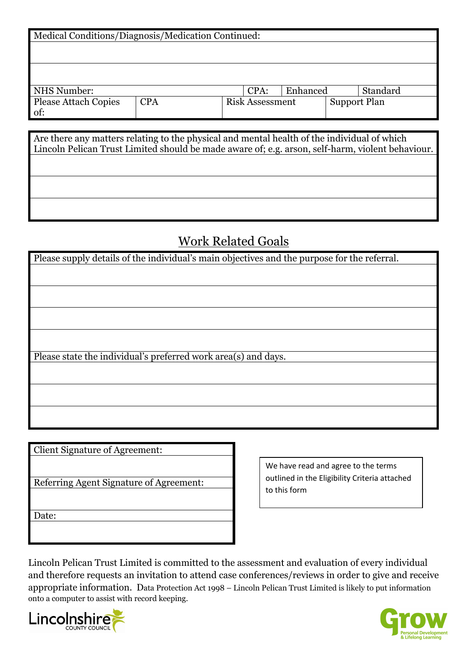| Medical Conditions/Diagnosis/Medication Continued:                                                                                                                                              |            |                        |  |                     |  |  |  |
|-------------------------------------------------------------------------------------------------------------------------------------------------------------------------------------------------|------------|------------------------|--|---------------------|--|--|--|
|                                                                                                                                                                                                 |            |                        |  |                     |  |  |  |
|                                                                                                                                                                                                 |            |                        |  |                     |  |  |  |
|                                                                                                                                                                                                 |            |                        |  |                     |  |  |  |
|                                                                                                                                                                                                 |            |                        |  |                     |  |  |  |
|                                                                                                                                                                                                 |            |                        |  |                     |  |  |  |
|                                                                                                                                                                                                 |            |                        |  |                     |  |  |  |
| <b>NHS</b> Number:                                                                                                                                                                              | CPA:       | Enhanced               |  | Standard            |  |  |  |
| <b>Please Attach Copies</b>                                                                                                                                                                     | <b>CPA</b> | <b>Risk Assessment</b> |  | <b>Support Plan</b> |  |  |  |
| of:                                                                                                                                                                                             |            |                        |  |                     |  |  |  |
|                                                                                                                                                                                                 |            |                        |  |                     |  |  |  |
|                                                                                                                                                                                                 |            |                        |  |                     |  |  |  |
|                                                                                                                                                                                                 |            |                        |  |                     |  |  |  |
| Are there any matters relating to the physical and mental health of the individual of which<br>Lincoln Pelican Trust Limited should be made aware of; e.g. arson, self-harm, violent behaviour. |            |                        |  |                     |  |  |  |
|                                                                                                                                                                                                 |            |                        |  |                     |  |  |  |
|                                                                                                                                                                                                 |            |                        |  |                     |  |  |  |
|                                                                                                                                                                                                 |            |                        |  |                     |  |  |  |
|                                                                                                                                                                                                 |            |                        |  |                     |  |  |  |
|                                                                                                                                                                                                 |            |                        |  |                     |  |  |  |
|                                                                                                                                                                                                 |            |                        |  |                     |  |  |  |
|                                                                                                                                                                                                 |            |                        |  |                     |  |  |  |

## Work Related Goals

| Please supply details of the individual's main objectives and the purpose for the referral. |
|---------------------------------------------------------------------------------------------|
|                                                                                             |
|                                                                                             |
|                                                                                             |
|                                                                                             |
|                                                                                             |
|                                                                                             |
|                                                                                             |
|                                                                                             |
|                                                                                             |
|                                                                                             |
| Please state the individual's preferred work area(s) and days.                              |
|                                                                                             |
|                                                                                             |
|                                                                                             |
|                                                                                             |
|                                                                                             |
|                                                                                             |
|                                                                                             |

Client Signature of Agreement:

Referring Agent Signature of Agreement:

Date:

We have read and agree to the terms outlined in the Eligibility Criteria attached to this form

Lincoln Pelican Trust Limited is committed to the assessment and evaluation of every individual and therefore requests an invitation to attend case conferences/reviews in order to give and receive appropriate information. Data Protection Act 1998 – Lincoln Pelican Trust Limited is likely to put information onto a computer to assist with record keeping.